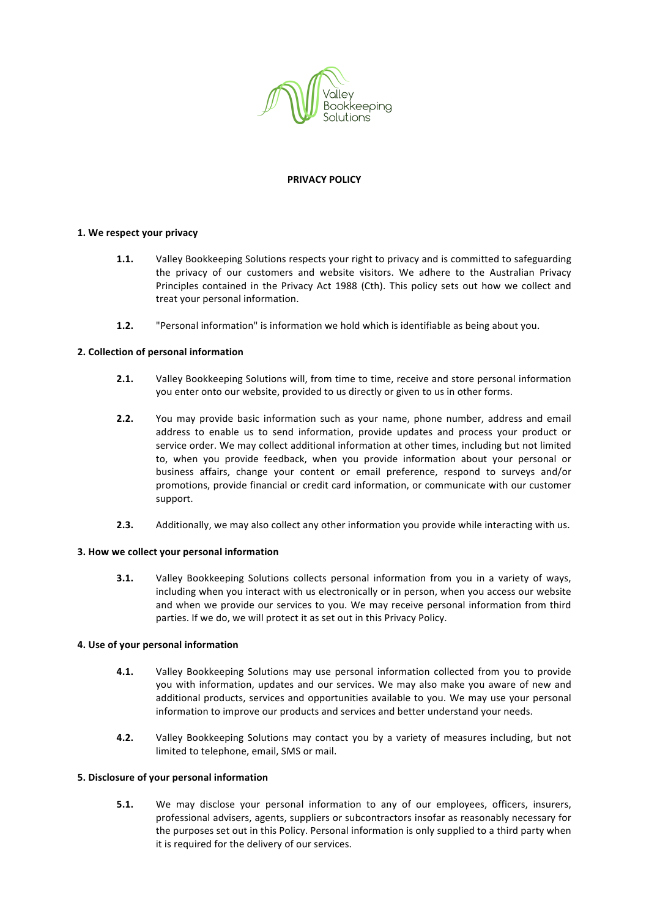

### **PRIVACY POLICY**

# 1. We respect your privacy

- **1.1.** Valley Bookkeeping Solutions respects your right to privacy and is committed to safeguarding the privacy of our customers and website visitors. We adhere to the Australian Privacy Principles contained in the Privacy Act 1988 (Cth). This policy sets out how we collect and treat your personal information.
- **1.2.** "Personal information" is information we hold which is identifiable as being about you.

## **2. Collection of personal information**

- **2.1.** Valley Bookkeeping Solutions will, from time to time, receive and store personal information you enter onto our website, provided to us directly or given to us in other forms.
- **2.2.** You may provide basic information such as your name, phone number, address and email address to enable us to send information, provide updates and process your product or service order. We may collect additional information at other times, including but not limited to, when you provide feedback, when you provide information about your personal or business affairs, change your content or email preference, respond to surveys and/or promotions, provide financial or credit card information, or communicate with our customer support.
- **2.3.** Additionally, we may also collect any other information you provide while interacting with us.

#### **3. How we collect your personal information**

**3.1.** Valley Bookkeeping Solutions collects personal information from you in a variety of ways, including when you interact with us electronically or in person, when you access our website and when we provide our services to you. We may receive personal information from third parties. If we do, we will protect it as set out in this Privacy Policy.

#### **4.** Use of your personal information

- **4.1.** Valley Bookkeeping Solutions may use personal information collected from you to provide you with information, updates and our services. We may also make you aware of new and additional products, services and opportunities available to you. We may use your personal information to improve our products and services and better understand your needs.
- **4.2.** Valley Bookkeeping Solutions may contact you by a variety of measures including, but not limited to telephone, email, SMS or mail.

#### **5. Disclosure of your personal information**

**5.1.** We may disclose your personal information to any of our employees, officers, insurers, professional advisers, agents, suppliers or subcontractors insofar as reasonably necessary for the purposes set out in this Policy. Personal information is only supplied to a third party when it is required for the delivery of our services.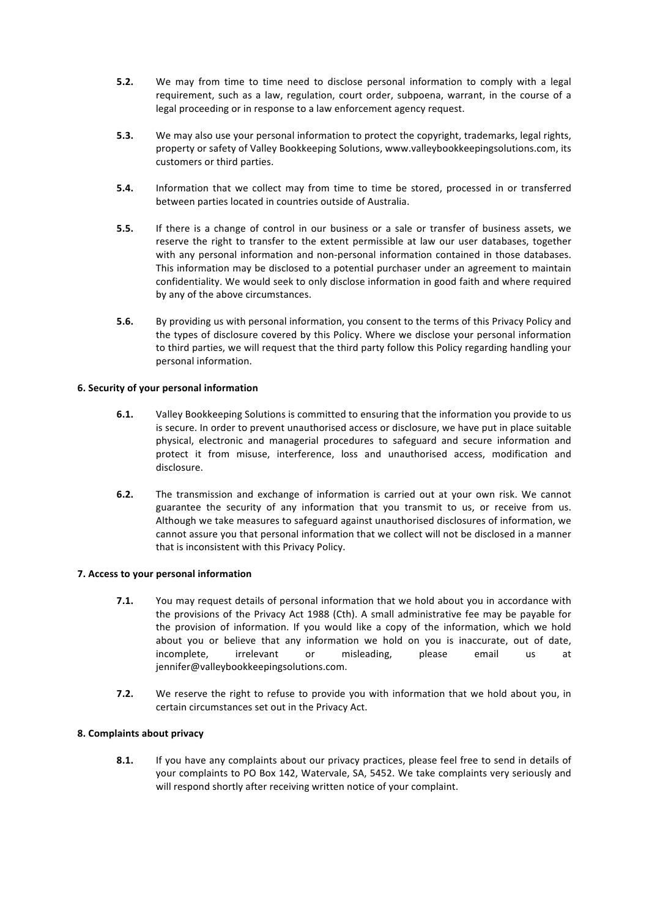- **5.2.** We may from time to time need to disclose personal information to comply with a legal requirement, such as a law, regulation, court order, subpoena, warrant, in the course of a legal proceeding or in response to a law enforcement agency request.
- **5.3.** We may also use your personal information to protect the copyright, trademarks, legal rights, property or safety of Valley Bookkeeping Solutions, www.valleybookkeepingsolutions.com, its customers or third parties.
- **5.4.** Information that we collect may from time to time be stored, processed in or transferred between parties located in countries outside of Australia.
- **5.5.** If there is a change of control in our business or a sale or transfer of business assets, we reserve the right to transfer to the extent permissible at law our user databases, together with any personal information and non-personal information contained in those databases. This information may be disclosed to a potential purchaser under an agreement to maintain confidentiality. We would seek to only disclose information in good faith and where required by any of the above circumstances.
- **5.6.** By providing us with personal information, you consent to the terms of this Privacy Policy and the types of disclosure covered by this Policy. Where we disclose your personal information to third parties, we will request that the third party follow this Policy regarding handling your personal information.

# **6. Security of your personal information**

- **6.1.** Valley Bookkeeping Solutions is committed to ensuring that the information you provide to us is secure. In order to prevent unauthorised access or disclosure, we have put in place suitable physical, electronic and managerial procedures to safeguard and secure information and protect it from misuse, interference, loss and unauthorised access, modification and disclosure.
- **6.2.** The transmission and exchange of information is carried out at your own risk. We cannot guarantee the security of any information that you transmit to us, or receive from us. Although we take measures to safeguard against unauthorised disclosures of information, we cannot assure you that personal information that we collect will not be disclosed in a manner that is inconsistent with this Privacy Policy.

# **7. Access to your personal information**

- **7.1.** You may request details of personal information that we hold about you in accordance with the provisions of the Privacy Act 1988 (Cth). A small administrative fee may be payable for the provision of information. If you would like a copy of the information, which we hold about you or believe that any information we hold on you is inaccurate, out of date, incomplete, irrelevant or misleading, please email us at jennifer@valleybookkeepingsolutions.com.
- **7.2.** We reserve the right to refuse to provide you with information that we hold about you, in certain circumstances set out in the Privacy Act.

# **8. Complaints about privacy**

**8.1.** If you have any complaints about our privacy practices, please feel free to send in details of your complaints to PO Box 142, Watervale, SA, 5452. We take complaints very seriously and will respond shortly after receiving written notice of your complaint.